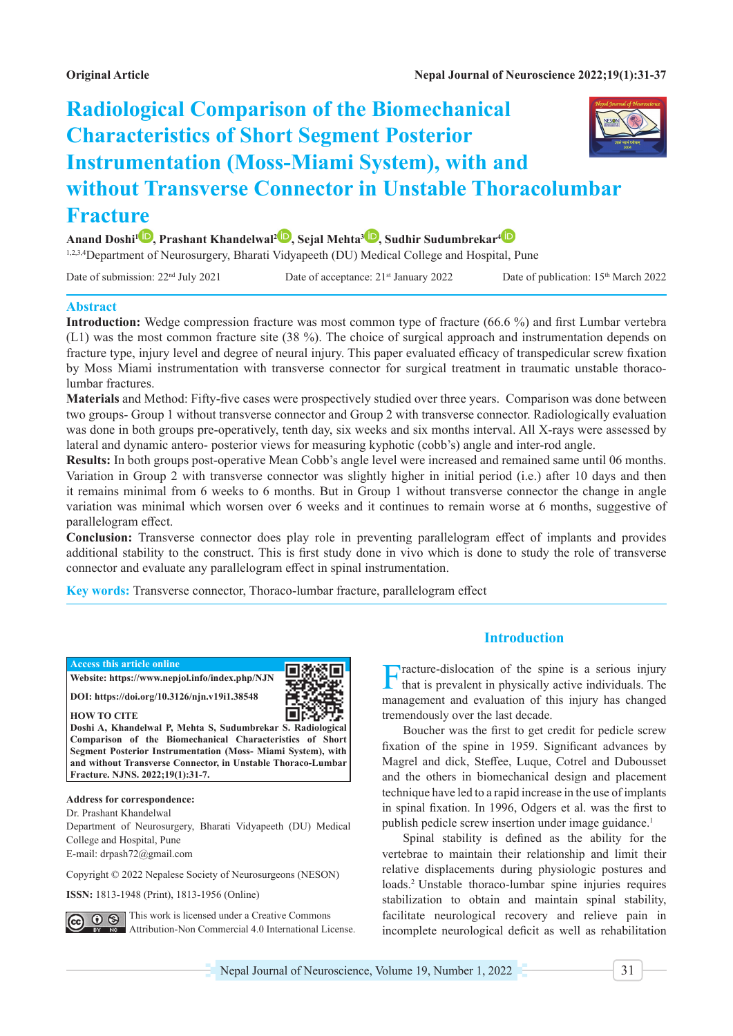# **Radiological Comparison of the Biomechanical Characteristics of Short Segment Posterior Instrumentation (Moss-Miami System), with and without Transverse Connector in Unstable Thoracolumbar Fracture**

**Anand Doshi1 , Prashant Khandelwal2 [,](https://orcid.org/0000-0002-4681-6975) Sejal Mehta3 [,](https://orcid.org/0000-0001-9474-8754) Sudhir Sudumbrekar[4](https://orcid.org/0000-0003-2160-7031)**

1,2,3,4Department of Neurosurgery, Bharati Vidyapeeth (DU) Medical College and Hospital, Pune

Date of submission: 22<sup>nd</sup> July 2021 Date of acceptance: 21<sup>st</sup> January 2022 Date of publication: 15<sup>th</sup> March 2022

#### **Abstract**

**Introduction:** Wedge compression fracture was most common type of fracture (66.6 %) and first Lumbar vertebra (L1) was the most common fracture site (38 %). The choice of surgical approach and instrumentation depends on fracture type, injury level and degree of neural injury. This paper evaluated efficacy of transpedicular screw fixation by Moss Miami instrumentation with transverse connector for surgical treatment in traumatic unstable thoracolumbar fractures.

**Materials** and Method: Fifty-five cases were prospectively studied over three years. Comparison was done between two groups- Group 1 without transverse connector and Group 2 with transverse connector. Radiologically evaluation was done in both groups pre-operatively, tenth day, six weeks and six months interval. All X-rays were assessed by lateral and dynamic antero- posterior views for measuring kyphotic (cobb's) angle and inter-rod angle.

**Results:** In both groups post-operative Mean Cobb's angle level were increased and remained same until 06 months. Variation in Group 2 with transverse connector was slightly higher in initial period (i.e.) after 10 days and then it remains minimal from 6 weeks to 6 months. But in Group 1 without transverse connector the change in angle variation was minimal which worsen over 6 weeks and it continues to remain worse at 6 months, suggestive of parallelogram effect.

**Conclusion:** Transverse connector does play role in preventing parallelogram effect of implants and provides additional stability to the construct. This is first study done in vivo which is done to study the role of transverse connector and evaluate any parallelogram effect in spinal instrumentation.

**Key words:** Transverse connector, Thoraco-lumbar fracture, parallelogram effect

#### **Access this article online**



**Website: https://www.nepjol.info/index.php/NJN DOI: https://doi.org/10.3126/njn.v19i1.38548**

**HOW TO CITE**

**Doshi A, Khandelwal P, Mehta S, Sudumbrekar S. Radiological Comparison of the Biomechanical Characteristics of Short Segment Posterior Instrumentation (Moss- Miami System), with and without Transverse Connector, in Unstable Thoraco-Lumbar Fracture. NJNS. 2022;19(1):31-7.**

#### **Address for correspondence:**

Dr. Prashant Khandelwal

Department of Neurosurgery, Bharati Vidyapeeth (DU) Medical College and Hospital, Pune E-mail: [drpash72@gmail.com](mailto:drpash72@gmail.com)

Copyright © 2022 Nepalese Society of Neurosurgeons (NESON)

**ISSN:** 1813-1948 (Print), 1813-1956 (Online)

This work is licensed under a Creative Commons  $\odot$  $\odot$ Attribution-Non Commercial 4.0 International License.

# **Introduction**

Fracture-dislocation of the spine is a serious injury that is prevalent in physically active individuals. The management and evaluation of this injury has changed tremendously over the last decade.

Boucher was the first to get credit for pedicle screw fixation of the spine in 1959. Significant advances by Magrel and dick, Steffee, Luque, Cotrel and Dubousset and the others in biomechanical design and placement technique have led to a rapid increase in the use of implants in spinal fixation. In 1996, Odgers et al. was the first to publish pedicle screw insertion under image guidance.<sup>1</sup>

Spinal stability is defined as the ability for the vertebrae to maintain their relationship and limit their relative displacements during physiologic postures and loads.2 Unstable thoraco-lumbar spine injuries requires stabilization to obtain and maintain spinal stability, facilitate neurological recovery and relieve pain in incomplete neurological deficit as well as rehabilitation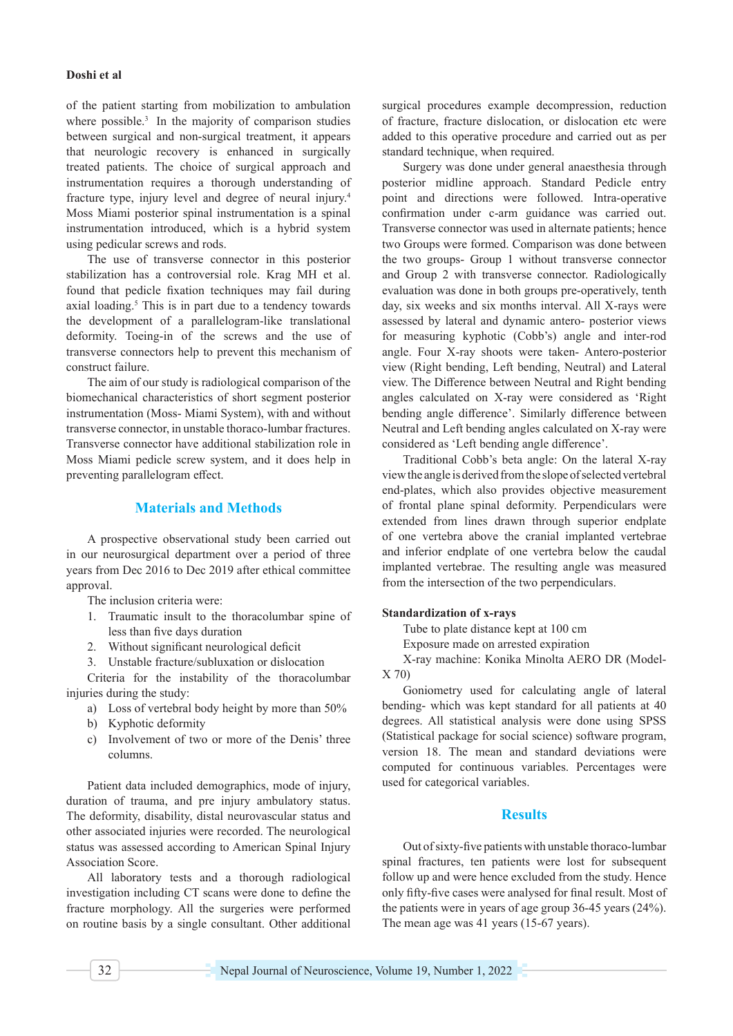### **Doshi et al**

of the patient starting from mobilization to ambulation where possible.<sup>3</sup> In the majority of comparison studies between surgical and non-surgical treatment, it appears that neurologic recovery is enhanced in surgically treated patients. The choice of surgical approach and instrumentation requires a thorough understanding of fracture type, injury level and degree of neural injury.<sup>4</sup> Moss Miami posterior spinal instrumentation is a spinal instrumentation introduced, which is a hybrid system using pedicular screws and rods.

The use of transverse connector in this posterior stabilization has a controversial role. Krag MH et al. found that pedicle fixation techniques may fail during axial loading.<sup>5</sup> This is in part due to a tendency towards the development of a parallelogram-like translational deformity. Toeing-in of the screws and the use of transverse connectors help to prevent this mechanism of construct failure.

The aim of our study is radiological comparison of the biomechanical characteristics of short segment posterior instrumentation (Moss- Miami System), with and without transverse connector, in unstable thoraco-lumbar fractures. Transverse connector have additional stabilization role in Moss Miami pedicle screw system, and it does help in preventing parallelogram effect.

# **Materials and Methods**

A prospective observational study been carried out in our neurosurgical department over a period of three years from Dec 2016 to Dec 2019 after ethical committee approval.

The inclusion criteria were:

- 1. Traumatic insult to the thoracolumbar spine of less than five days duration
- 2. Without significant neurological deficit
- 3. Unstable fracture/subluxation or dislocation

Criteria for the instability of the thoracolumbar injuries during the study:

- a) Loss of vertebral body height by more than 50%
- b) Kyphotic deformity
- c) Involvement of two or more of the Denis' three columns.

Patient data included demographics, mode of injury, duration of trauma, and pre injury ambulatory status. The deformity, disability, distal neurovascular status and other associated injuries were recorded. The neurological status was assessed according to American Spinal Injury Association Score.

All laboratory tests and a thorough radiological investigation including CT scans were done to define the fracture morphology. All the surgeries were performed on routine basis by a single consultant. Other additional surgical procedures example decompression, reduction of fracture, fracture dislocation, or dislocation etc were added to this operative procedure and carried out as per standard technique, when required.

Surgery was done under general anaesthesia through posterior midline approach. Standard Pedicle entry point and directions were followed. Intra-operative confirmation under c-arm guidance was carried out. Transverse connector was used in alternate patients; hence two Groups were formed. Comparison was done between the two groups- Group 1 without transverse connector and Group 2 with transverse connector. Radiologically evaluation was done in both groups pre-operatively, tenth day, six weeks and six months interval. All X-rays were assessed by lateral and dynamic antero- posterior views for measuring kyphotic (Cobb's) angle and inter-rod angle. Four X-ray shoots were taken- Antero-posterior view (Right bending, Left bending, Neutral) and Lateral view. The Difference between Neutral and Right bending angles calculated on X-ray were considered as 'Right bending angle difference'. Similarly difference between Neutral and Left bending angles calculated on X-ray were considered as 'Left bending angle difference'.

Traditional Cobb's beta angle: On the lateral X-ray view the angle is derived from the slope of selected vertebral end‐plates, which also provides objective measurement of frontal plane spinal deformity. Perpendiculars were extended from lines drawn through superior endplate of one vertebra above the cranial implanted vertebrae and inferior endplate of one vertebra below the caudal implanted vertebrae. The resulting angle was measured from the intersection of the two perpendiculars.

#### **Standardization of x-rays**

Tube to plate distance kept at 100 cm

Exposure made on arrested expiration

X-ray machine: Konika Minolta AERO DR (Model-X 70)

Goniometry used for calculating angle of lateral bending- which was kept standard for all patients at 40 degrees. All statistical analysis were done using SPSS (Statistical package for social science) software program, version 18. The mean and standard deviations were computed for continuous variables. Percentages were used for categorical variables.

# **Results**

Out of sixty-five patients with unstable thoraco-lumbar spinal fractures, ten patients were lost for subsequent follow up and were hence excluded from the study. Hence only fifty-five cases were analysed for final result. Most of the patients were in years of age group 36-45 years (24%). The mean age was 41 years (15-67 years).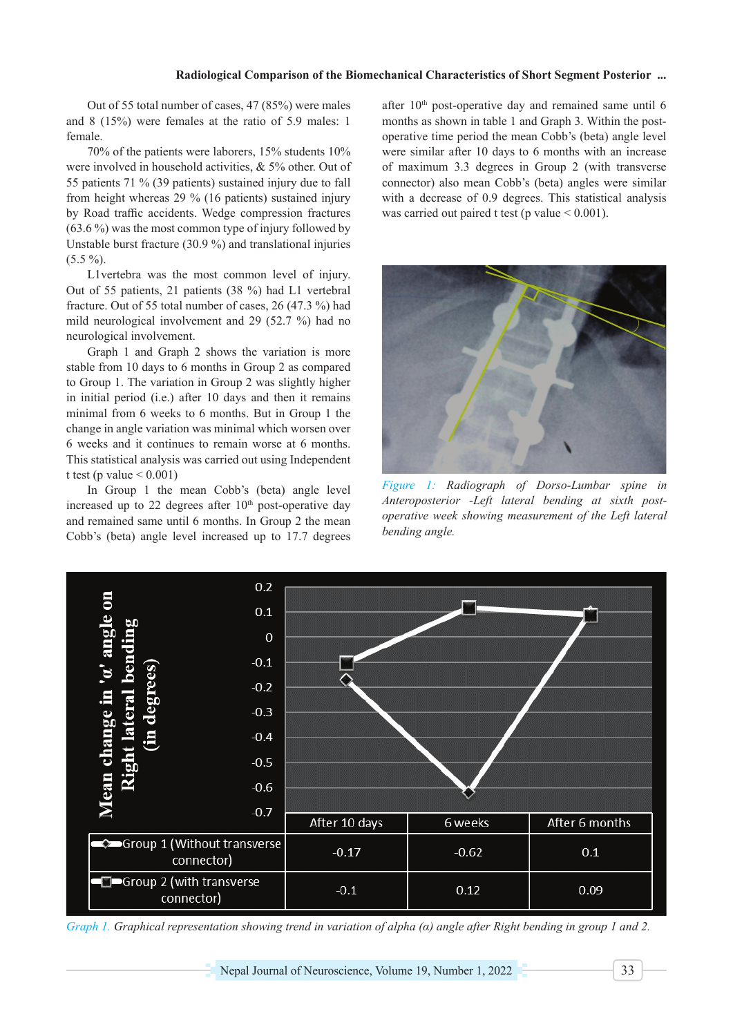# **Radiological Comparison of the Biomechanical Characteristics of Short Segment Posterior ...**

Out of 55 total number of cases, 47 (85%) were males and 8 (15%) were females at the ratio of 5.9 males: 1 female.

70% of the patients were laborers, 15% students 10% were involved in household activities, & 5% other. Out of 55 patients 71 % (39 patients) sustained injury due to fall from height whereas 29 % (16 patients) sustained injury by Road traffic accidents. Wedge compression fractures (63.6 %) was the most common type of injury followed by Unstable burst fracture (30.9 %) and translational injuries  $(5.5\%)$ .

L1vertebra was the most common level of injury. Out of 55 patients, 21 patients (38 %) had L1 vertebral fracture. Out of 55 total number of cases, 26 (47.3 %) had mild neurological involvement and 29 (52.7 %) had no neurological involvement.

Graph 1 and Graph 2 shows the variation is more stable from 10 days to 6 months in Group 2 as compared to Group 1. The variation in Group 2 was slightly higher in initial period (i.e.) after 10 days and then it remains minimal from 6 weeks to 6 months. But in Group 1 the change in angle variation was minimal which worsen over 6 weeks and it continues to remain worse at 6 months. This statistical analysis was carried out using Independent t test (p value  $< 0.001$ )

In Group 1 the mean Cobb's (beta) angle level increased up to 22 degrees after  $10<sup>th</sup>$  post-operative day and remained same until 6 months. In Group 2 the mean Cobb's (beta) angle level increased up to 17.7 degrees after 10<sup>th</sup> post-operative day and remained same until 6 months as shown in table 1 and Graph 3. Within the postoperative time period the mean Cobb's (beta) angle level were similar after 10 days to 6 months with an increase of maximum 3.3 degrees in Group 2 (with transverse connector) also mean Cobb's (beta) angles were similar with a decrease of 0.9 degrees. This statistical analysis was carried out paired t test (p value  $< 0.001$ ).



*Figure 1: Radiograph of Dorso-Lumbar spine in Anteroposterior -Left lateral bending at sixth postoperative week showing measurement of the Left lateral bending angle.*



*Graph 1. Graphical representation showing trend in variation of alpha (α) angle after Right bending in group 1 and 2.*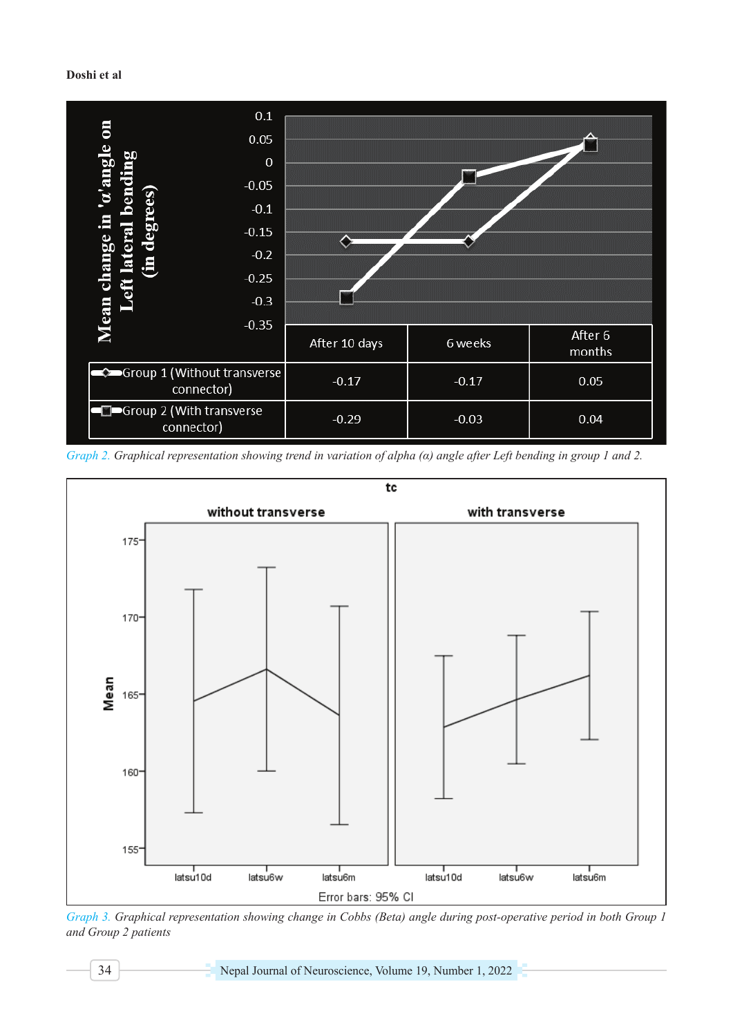# **Doshi et al**



*Graph 2. Graphical representation showing trend in variation of alpha (α) angle after Left bending in group 1 and 2.*



*Graph 3. Graphical representation showing change in Cobbs (Beta) angle during post-operative period in both Group 1 and Group 2 patients*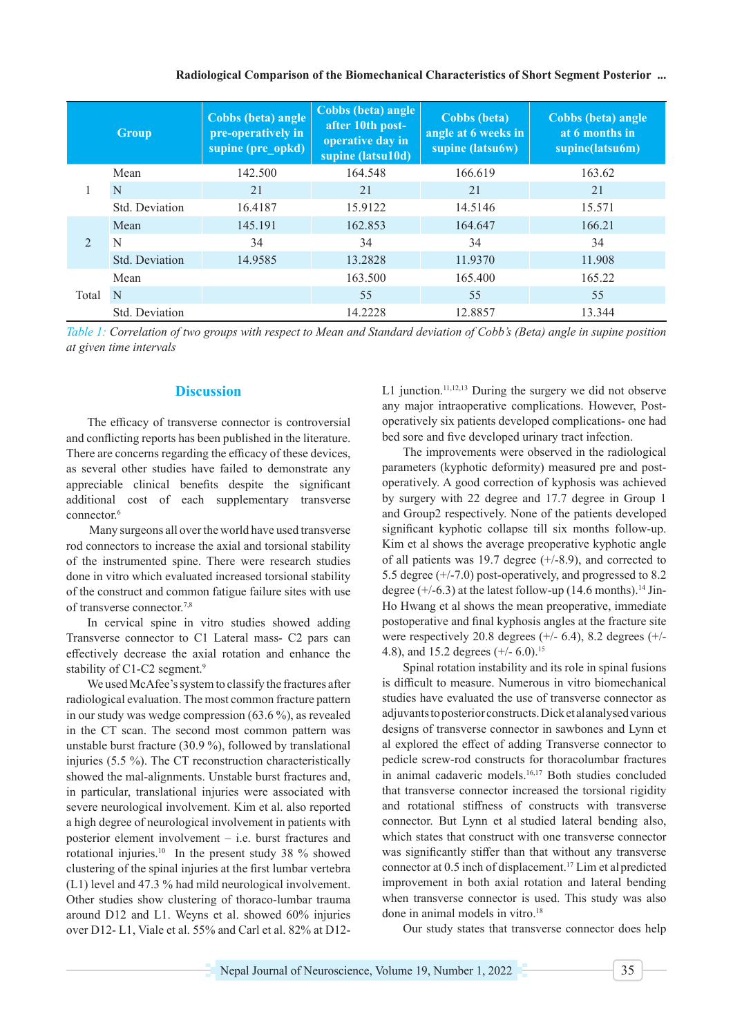#### **Radiological Comparison of the Biomechanical Characteristics of Short Segment Posterior ...**

|                | Group          | Cobbs (beta) angle<br>pre-operatively in<br>supine (pre_opkd) | Cobbs (beta) angle<br>after 10th post-<br>operative day in<br>supine (latsu10d) | <b>Cobbs</b> (beta)<br>angle at 6 weeks in<br>supine (latsu6w) | Cobbs (beta) angle<br>at 6 months in<br>supine(latsu6m) |
|----------------|----------------|---------------------------------------------------------------|---------------------------------------------------------------------------------|----------------------------------------------------------------|---------------------------------------------------------|
| 1              | Mean           | 142.500                                                       | 164.548                                                                         | 166.619                                                        | 163.62                                                  |
|                | N              | 21                                                            | 21                                                                              | 21                                                             | 21                                                      |
|                | Std. Deviation | 16.4187                                                       | 15.9122                                                                         | 14.5146                                                        | 15.571                                                  |
| $\mathfrak{D}$ | Mean           | 145.191                                                       | 162.853                                                                         | 164.647                                                        | 166.21                                                  |
|                | N              | 34                                                            | 34                                                                              | 34                                                             | 34                                                      |
|                | Std. Deviation | 14.9585                                                       | 13.2828                                                                         | 11.9370                                                        | 11.908                                                  |
| Total          | Mean           |                                                               | 163.500                                                                         | 165.400                                                        | 165.22                                                  |
|                | N              |                                                               | 55                                                                              | 55                                                             | 55                                                      |
|                | Std. Deviation |                                                               | 14.2228                                                                         | 12.8857                                                        | 13.344                                                  |

*Table 1: Correlation of two groups with respect to Mean and Standard deviation of Cobb's (Beta) angle in supine position at given time intervals*

# **Discussion**

The efficacy of transverse connector is controversial and conflicting reports has been published in the literature. There are concerns regarding the efficacy of these devices, as several other studies have failed to demonstrate any appreciable clinical benefits despite the significant additional cost of each supplementary transverse connector.6

 Many surgeons all over the world have used transverse rod connectors to increase the axial and torsional stability of the instrumented spine. There were research studies done in vitro which evaluated increased torsional stability of the construct and common fatigue failure sites with use of transverse connector.7,8

In cervical spine in vitro studies showed adding Transverse connector to C1 Lateral mass- C2 pars can effectively decrease the axial rotation and enhance the stability of C1-C2 segment.<sup>9</sup>

We used McAfee's system to classify the fractures after radiological evaluation. The most common fracture pattern in our study was wedge compression (63.6 %), as revealed in the CT scan. The second most common pattern was unstable burst fracture (30.9 %), followed by translational injuries (5.5 %). The CT reconstruction characteristically showed the mal-alignments. Unstable burst fractures and, in particular, translational injuries were associated with severe neurological involvement. Kim et al. also reported a high degree of neurological involvement in patients with posterior element involvement – i.e. burst fractures and rotational injuries.10 In the present study 38 % showed clustering of the spinal injuries at the first lumbar vertebra (L1) level and 47.3 % had mild neurological involvement. Other studies show clustering of thoraco-lumbar trauma around D12 and L1. Weyns et al. showed 60% injuries over D12- L1, Viale et al. 55% and Carl et al. 82% at D12L1 junction.11,12,13 During the surgery we did not observe any major intraoperative complications. However, Postoperatively six patients developed complications- one had bed sore and five developed urinary tract infection.

The improvements were observed in the radiological parameters (kyphotic deformity) measured pre and postoperatively. A good correction of kyphosis was achieved by surgery with 22 degree and 17.7 degree in Group 1 and Group2 respectively. None of the patients developed significant kyphotic collapse till six months follow-up. Kim et al shows the average preoperative kyphotic angle of all patients was 19.7 degree  $(+/-8.9)$ , and corrected to 5.5 degree (+/-7.0) post-operatively, and progressed to 8.2 degree  $(+/-6.3)$  at the latest follow-up (14.6 months).<sup>14</sup> Jin-Ho Hwang et al shows the mean preoperative, immediate postoperative and final kyphosis angles at the fracture site were respectively 20.8 degrees (+/- 6.4), 8.2 degrees (+/- 4.8), and 15.2 degrees (+/- 6.0).<sup>15</sup>

Spinal rotation instability and its role in spinal fusions is difficult to measure. Numerous in vitro biomechanical studies have evaluated the use of transverse connector as adjuvants to posterior constructs. Dick et alanalysed various designs of transverse connector in sawbones and Lynn et al explored the effect of adding Transverse connector to pedicle screw-rod constructs for thoracolumbar fractures in animal cadaveric models.<sup>16,17</sup> Both studies concluded that transverse connector increased the torsional rigidity and rotational stiffness of constructs with transverse connector. But Lynn et al studied lateral bending also, which states that construct with one transverse connector was significantly stiffer than that without any transverse connector at 0.5 inch of displacement.17 Lim et alpredicted improvement in both axial rotation and lateral bending when transverse connector is used. This study was also done in animal models in vitro.<sup>18</sup>

Our study states that transverse connector does help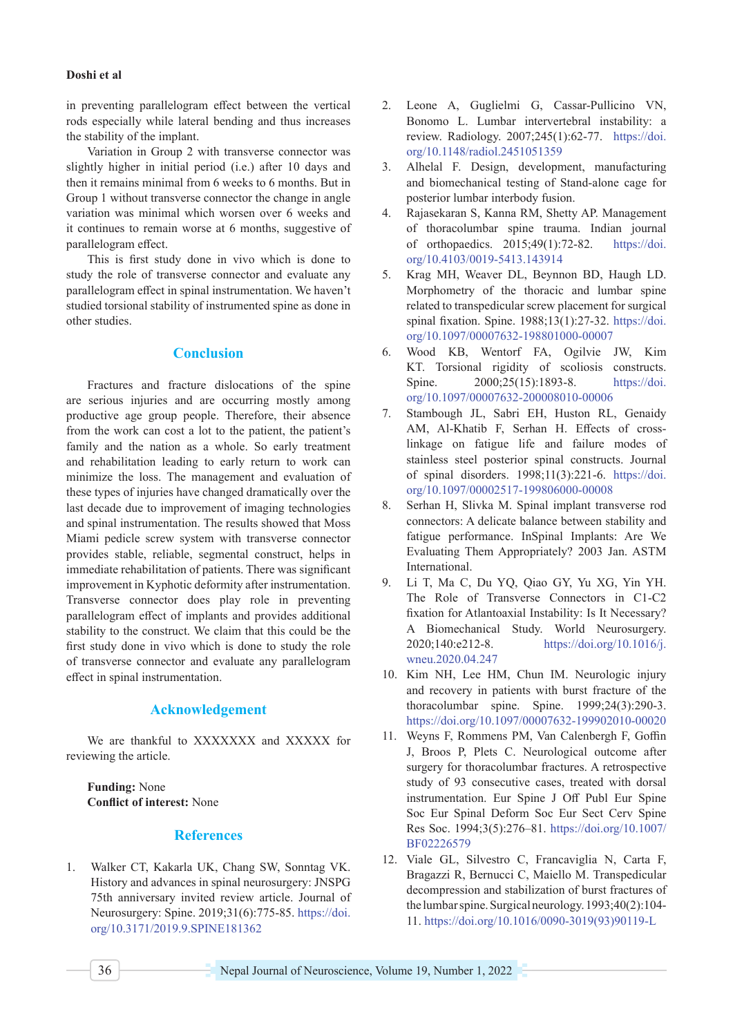#### **Doshi et al**

in preventing parallelogram effect between the vertical rods especially while lateral bending and thus increases the stability of the implant.

Variation in Group 2 with transverse connector was slightly higher in initial period (i.e.) after 10 days and then it remains minimal from 6 weeks to 6 months. But in Group 1 without transverse connector the change in angle variation was minimal which worsen over 6 weeks and it continues to remain worse at 6 months, suggestive of parallelogram effect.

This is first study done in vivo which is done to study the role of transverse connector and evaluate any parallelogram effect in spinal instrumentation. We haven't studied torsional stability of instrumented spine as done in other studies.

# **Conclusion**

Fractures and fracture dislocations of the spine are serious injuries and are occurring mostly among productive age group people. Therefore, their absence from the work can cost a lot to the patient, the patient's family and the nation as a whole. So early treatment and rehabilitation leading to early return to work can minimize the loss. The management and evaluation of these types of injuries have changed dramatically over the last decade due to improvement of imaging technologies and spinal instrumentation. The results showed that Moss Miami pedicle screw system with transverse connector provides stable, reliable, segmental construct, helps in immediate rehabilitation of patients. There was significant improvement in Kyphotic deformity after instrumentation. Transverse connector does play role in preventing parallelogram effect of implants and provides additional stability to the construct. We claim that this could be the first study done in vivo which is done to study the role of transverse connector and evaluate any parallelogram effect in spinal instrumentation.

## **Acknowledgement**

We are thankful to XXXXXXX and XXXXX for reviewing the article.

**Funding:** None **Conflict of interest:** None

## **References**

1. Walker CT, Kakarla UK, Chang SW, Sonntag VK. History and advances in spinal neurosurgery: JNSPG 75th anniversary invited review article. Journal of Neurosurgery: Spine. 2019;31(6):775-85. [https://doi.](https://doi.org/10.3171/2019.9.SPINE181362) [org/10.3171/2019.9.SPINE181362](https://doi.org/10.3171/2019.9.SPINE181362)

- 2. Leone A, Guglielmi G, Cassar-Pullicino VN, Bonomo L. Lumbar intervertebral instability: a review. Radiology. 2007;245(1):62-77. [https://doi.](https://doi.org/10.1148/radiol.2451051359) [org/10.1148/radiol.2451051359](https://doi.org/10.1148/radiol.2451051359)
- 3. Alhelal F. Design, development, manufacturing and biomechanical testing of Stand-alone cage for posterior lumbar interbody fusion.
- 4. Rajasekaran S, Kanna RM, Shetty AP. Management of thoracolumbar spine trauma. Indian journal of orthopaedics. 2015;49(1):72-82. [https://doi.](https://doi.org/10.4103/0019-5413.143914) [org/10.4103/0019-5413.143914](https://doi.org/10.4103/0019-5413.143914)
- 5. Krag MH, Weaver DL, Beynnon BD, Haugh LD. Morphometry of the thoracic and lumbar spine related to transpedicular screw placement for surgical spinal fixation. Spine. 1988;13(1):27-32. [https://doi.](https://doi.org/10.1097/00007632-198801000-00007) [org/10.1097/00007632-198801000-00007](https://doi.org/10.1097/00007632-198801000-00007)
- 6. Wood KB, Wentorf FA, Ogilvie JW, Kim KT. Torsional rigidity of scoliosis constructs. Spine. 2000;25(15):1893-8. [https://doi.](https://doi.org/10.1097/00007632-200008010-00006) [org/10.1097/00007632-200008010-00006](https://doi.org/10.1097/00007632-200008010-00006)
- 7. Stambough JL, Sabri EH, Huston RL, Genaidy AM, Al-Khatib F, Serhan H. Effects of crosslinkage on fatigue life and failure modes of stainless steel posterior spinal constructs. Journal of spinal disorders. 1998;11(3):221-6. [https://doi.](https://doi.org/10.1097/00002517-199806000-00008) [org/10.1097/00002517-199806000-00008](https://doi.org/10.1097/00002517-199806000-00008)
- 8. Serhan H, Slivka M. Spinal implant transverse rod connectors: A delicate balance between stability and fatigue performance. InSpinal Implants: Are We Evaluating Them Appropriately? 2003 Jan. ASTM International.
- 9. Li T, Ma C, Du YQ, Qiao GY, Yu XG, Yin YH. The Role of Transverse Connectors in C1-C2 fixation for Atlantoaxial Instability: Is It Necessary? A Biomechanical Study. World Neurosurgery. 2020;140:e212-8. [https://doi.org/10.1016/j.](https://doi.org/10.1016/j.wneu.2020.04.247) [wneu.2020.04.247](https://doi.org/10.1016/j.wneu.2020.04.247)
- 10. Kim NH, Lee HM, Chun IM. Neurologic injury and recovery in patients with burst fracture of the thoracolumbar spine. Spine. 1999;24(3):290-3. <https://doi.org/10.1097/00007632-199902010-00020>
- 11. Weyns F, Rommens PM, Van Calenbergh F, Goffin J, Broos P, Plets C. Neurological outcome after surgery for thoracolumbar fractures. A retrospective study of 93 consecutive cases, treated with dorsal instrumentation. Eur Spine J Off Publ Eur Spine Soc Eur Spinal Deform Soc Eur Sect Cerv Spine Res Soc. 1994;3(5):276–81. [https://doi.org/10.1007/](https://doi.org/10.1007/BF02226579) [BF02226579](https://doi.org/10.1007/BF02226579)
- 12. Viale GL, Silvestro C, Francaviglia N, Carta F, Bragazzi R, Bernucci C, Maiello M. Transpedicular decompression and stabilization of burst fractures of the lumbar spine. Surgical neurology. 1993;40(2):104- 11. [https://doi.org/10.1016/0090-3019\(93\)90119-L](https://doi.org/10.1016/0090-3019(93)90119-L)